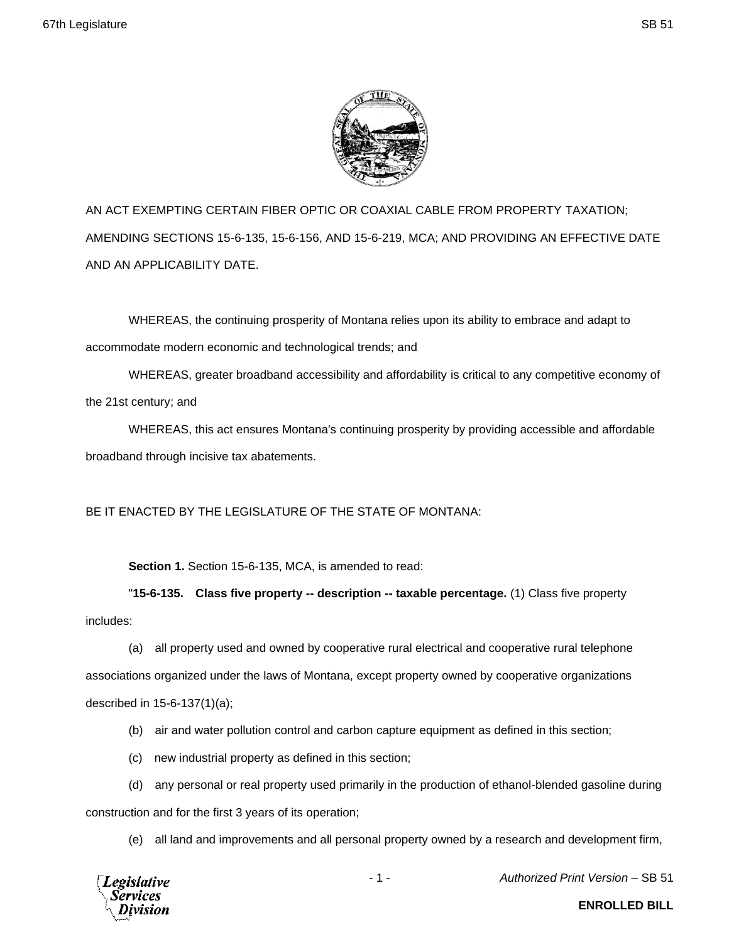

AN ACT EXEMPTING CERTAIN FIBER OPTIC OR COAXIAL CABLE FROM PROPERTY TAXATION; AMENDING SECTIONS 15-6-135, 15-6-156, AND 15-6-219, MCA; AND PROVIDING AN EFFECTIVE DATE AND AN APPLICABILITY DATE.

WHEREAS, the continuing prosperity of Montana relies upon its ability to embrace and adapt to accommodate modern economic and technological trends; and

WHEREAS, greater broadband accessibility and affordability is critical to any competitive economy of the 21st century; and

WHEREAS, this act ensures Montana's continuing prosperity by providing accessible and affordable broadband through incisive tax abatements.

BE IT ENACTED BY THE LEGISLATURE OF THE STATE OF MONTANA:

**Section 1.** Section 15-6-135, MCA, is amended to read:

"**15-6-135. Class five property -- description -- taxable percentage.** (1) Class five property includes:

(a) all property used and owned by cooperative rural electrical and cooperative rural telephone associations organized under the laws of Montana, except property owned by cooperative organizations described in 15-6-137(1)(a);

(b) air and water pollution control and carbon capture equipment as defined in this section;

(c) new industrial property as defined in this section;

(d) any personal or real property used primarily in the production of ethanol-blended gasoline during construction and for the first 3 years of its operation;

(e) all land and improvements and all personal property owned by a research and development firm,



- 1 - *Authorized Print Version* – SB 51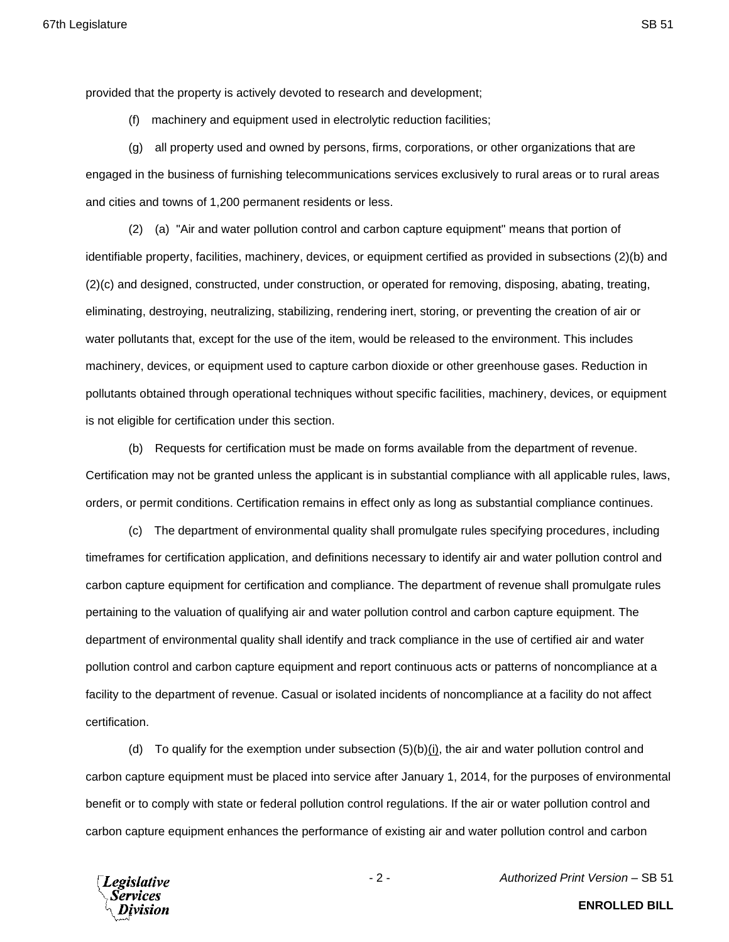provided that the property is actively devoted to research and development;

(f) machinery and equipment used in electrolytic reduction facilities;

(g) all property used and owned by persons, firms, corporations, or other organizations that are engaged in the business of furnishing telecommunications services exclusively to rural areas or to rural areas and cities and towns of 1,200 permanent residents or less.

(2) (a) "Air and water pollution control and carbon capture equipment" means that portion of identifiable property, facilities, machinery, devices, or equipment certified as provided in subsections (2)(b) and (2)(c) and designed, constructed, under construction, or operated for removing, disposing, abating, treating, eliminating, destroying, neutralizing, stabilizing, rendering inert, storing, or preventing the creation of air or water pollutants that, except for the use of the item, would be released to the environment. This includes machinery, devices, or equipment used to capture carbon dioxide or other greenhouse gases. Reduction in pollutants obtained through operational techniques without specific facilities, machinery, devices, or equipment is not eligible for certification under this section.

(b) Requests for certification must be made on forms available from the department of revenue. Certification may not be granted unless the applicant is in substantial compliance with all applicable rules, laws, orders, or permit conditions. Certification remains in effect only as long as substantial compliance continues.

(c) The department of environmental quality shall promulgate rules specifying procedures, including timeframes for certification application, and definitions necessary to identify air and water pollution control and carbon capture equipment for certification and compliance. The department of revenue shall promulgate rules pertaining to the valuation of qualifying air and water pollution control and carbon capture equipment. The department of environmental quality shall identify and track compliance in the use of certified air and water pollution control and carbon capture equipment and report continuous acts or patterns of noncompliance at a facility to the department of revenue. Casual or isolated incidents of noncompliance at a facility do not affect certification.

(d) To qualify for the exemption under subsection  $(5)(b)(i)$ , the air and water pollution control and carbon capture equipment must be placed into service after January 1, 2014, for the purposes of environmental benefit or to comply with state or federal pollution control regulations. If the air or water pollution control and carbon capture equipment enhances the performance of existing air and water pollution control and carbon



- 2 - *Authorized Print Version* – SB 51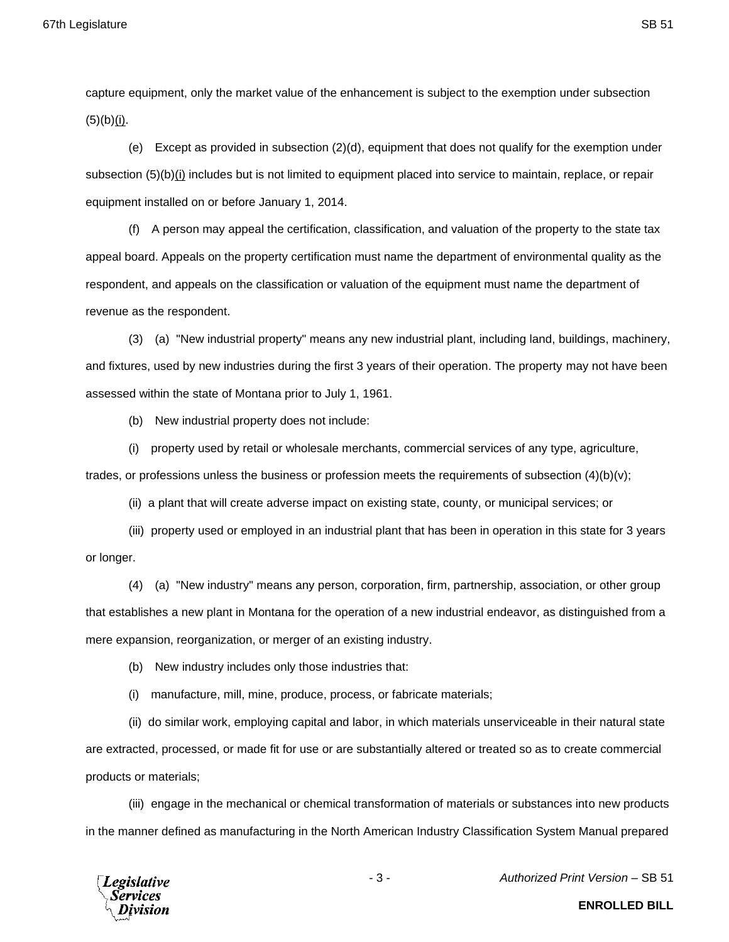capture equipment, only the market value of the enhancement is subject to the exemption under subsection  $(5)(b)(i)$ .

(e) Except as provided in subsection (2)(d), equipment that does not qualify for the exemption under subsection (5)(b)(i) includes but is not limited to equipment placed into service to maintain, replace, or repair equipment installed on or before January 1, 2014.

(f) A person may appeal the certification, classification, and valuation of the property to the state tax appeal board. Appeals on the property certification must name the department of environmental quality as the respondent, and appeals on the classification or valuation of the equipment must name the department of revenue as the respondent.

(3) (a) "New industrial property" means any new industrial plant, including land, buildings, machinery, and fixtures, used by new industries during the first 3 years of their operation. The property may not have been assessed within the state of Montana prior to July 1, 1961.

(b) New industrial property does not include:

(i) property used by retail or wholesale merchants, commercial services of any type, agriculture, trades, or professions unless the business or profession meets the requirements of subsection (4)(b)(v);

(ii) a plant that will create adverse impact on existing state, county, or municipal services; or

(iii) property used or employed in an industrial plant that has been in operation in this state for 3 years or longer.

(4) (a) "New industry" means any person, corporation, firm, partnership, association, or other group that establishes a new plant in Montana for the operation of a new industrial endeavor, as distinguished from a mere expansion, reorganization, or merger of an existing industry.

(b) New industry includes only those industries that:

(i) manufacture, mill, mine, produce, process, or fabricate materials;

(ii) do similar work, employing capital and labor, in which materials unserviceable in their natural state are extracted, processed, or made fit for use or are substantially altered or treated so as to create commercial products or materials;

(iii) engage in the mechanical or chemical transformation of materials or substances into new products in the manner defined as manufacturing in the North American Industry Classification System Manual prepared



- 3 - *Authorized Print Version* – SB 51

**ENROLLED BILL**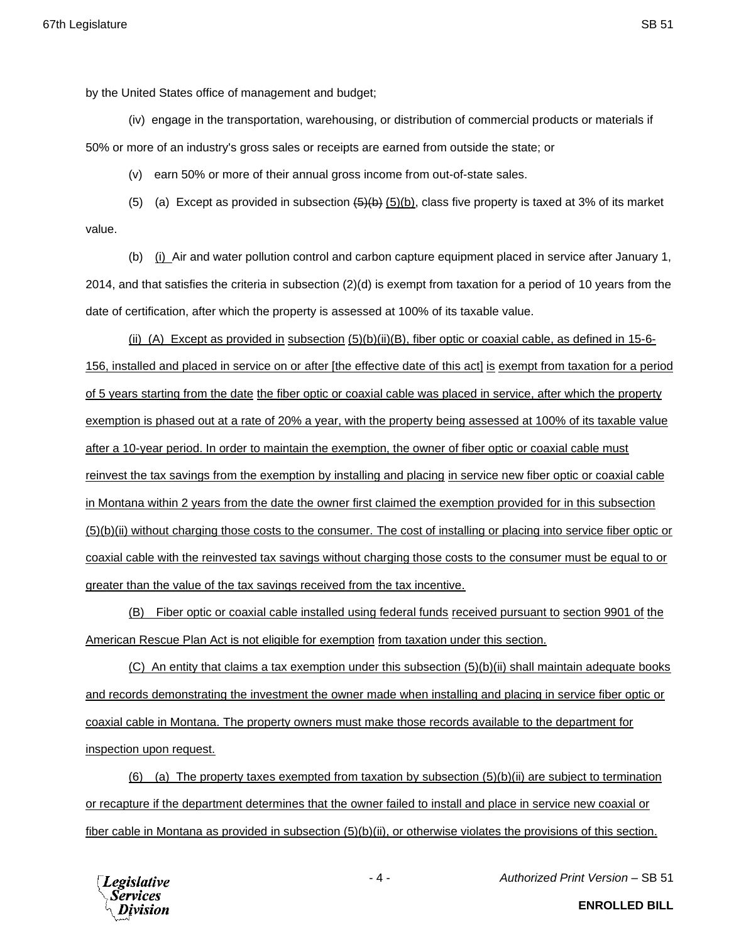by the United States office of management and budget;

(iv) engage in the transportation, warehousing, or distribution of commercial products or materials if 50% or more of an industry's gross sales or receipts are earned from outside the state; or

(v) earn 50% or more of their annual gross income from out-of-state sales.

(5) (a) Except as provided in subsection  $(5)(b)$ , class five property is taxed at 3% of its market value.

(b) (i) Air and water pollution control and carbon capture equipment placed in service after January 1, 2014, and that satisfies the criteria in subsection (2)(d) is exempt from taxation for a period of 10 years from the date of certification, after which the property is assessed at 100% of its taxable value.

(ii) (A) Except as provided in subsection  $(5)(b)(ii)(B)$ , fiber optic or coaxial cable, as defined in 15-6-156, installed and placed in service on or after [the effective date of this act] is exempt from taxation for a period of 5 years starting from the date the fiber optic or coaxial cable was placed in service, after which the property exemption is phased out at a rate of 20% a year, with the property being assessed at 100% of its taxable value after a 10-year period. In order to maintain the exemption, the owner of fiber optic or coaxial cable must reinvest the tax savings from the exemption by installing and placing in service new fiber optic or coaxial cable in Montana within 2 years from the date the owner first claimed the exemption provided for in this subsection (5)(b)(ii) without charging those costs to the consumer. The cost of installing or placing into service fiber optic or coaxial cable with the reinvested tax savings without charging those costs to the consumer must be equal to or greater than the value of the tax savings received from the tax incentive.

(B) Fiber optic or coaxial cable installed using federal funds received pursuant to section 9901 of the American Rescue Plan Act is not eligible for exemption from taxation under this section.

(C) An entity that claims a tax exemption under this subsection (5)(b)(ii) shall maintain adequate books and records demonstrating the investment the owner made when installing and placing in service fiber optic or coaxial cable in Montana. The property owners must make those records available to the department for inspection upon request.

(6) (a) The property taxes exempted from taxation by subsection (5)(b)(ii) are subject to termination or recapture if the department determines that the owner failed to install and place in service new coaxial or fiber cable in Montana as provided in subsection (5)(b)(ii), or otherwise violates the provisions of this section.



- 4 - *Authorized Print Version* – SB 51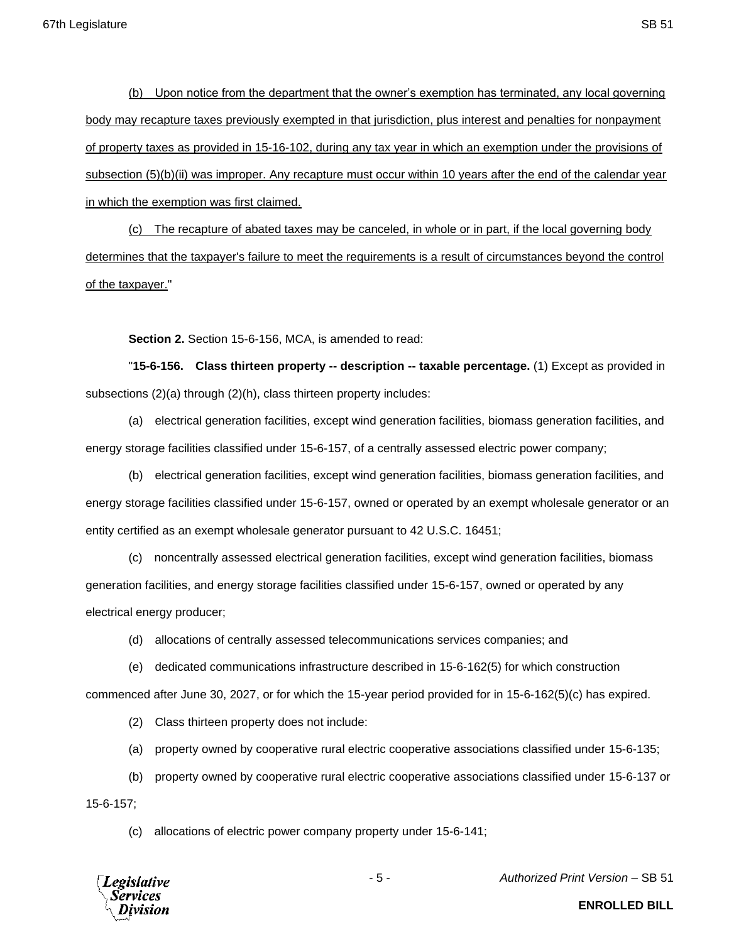(b) Upon notice from the department that the owner's exemption has terminated, any local governing body may recapture taxes previously exempted in that jurisdiction, plus interest and penalties for nonpayment of property taxes as provided in 15-16-102, during any tax year in which an exemption under the provisions of subsection (5)(b)(ii) was improper. Any recapture must occur within 10 years after the end of the calendar year in which the exemption was first claimed.

(c) The recapture of abated taxes may be canceled, in whole or in part, if the local governing body determines that the taxpayer's failure to meet the requirements is a result of circumstances beyond the control of the taxpayer."

**Section 2.** Section 15-6-156, MCA, is amended to read:

"**15-6-156. Class thirteen property -- description -- taxable percentage.** (1) Except as provided in subsections (2)(a) through (2)(h), class thirteen property includes:

(a) electrical generation facilities, except wind generation facilities, biomass generation facilities, and energy storage facilities classified under 15-6-157, of a centrally assessed electric power company;

(b) electrical generation facilities, except wind generation facilities, biomass generation facilities, and energy storage facilities classified under 15-6-157, owned or operated by an exempt wholesale generator or an entity certified as an exempt wholesale generator pursuant to 42 U.S.C. 16451;

(c) noncentrally assessed electrical generation facilities, except wind generation facilities, biomass generation facilities, and energy storage facilities classified under 15-6-157, owned or operated by any electrical energy producer;

(d) allocations of centrally assessed telecommunications services companies; and

(e) dedicated communications infrastructure described in 15-6-162(5) for which construction

commenced after June 30, 2027, or for which the 15-year period provided for in 15-6-162(5)(c) has expired.

(2) Class thirteen property does not include:

(a) property owned by cooperative rural electric cooperative associations classified under 15-6-135;

(b) property owned by cooperative rural electric cooperative associations classified under 15-6-137 or

15-6-157;

(c) allocations of electric power company property under 15-6-141;



- 5 - *Authorized Print Version* – SB 51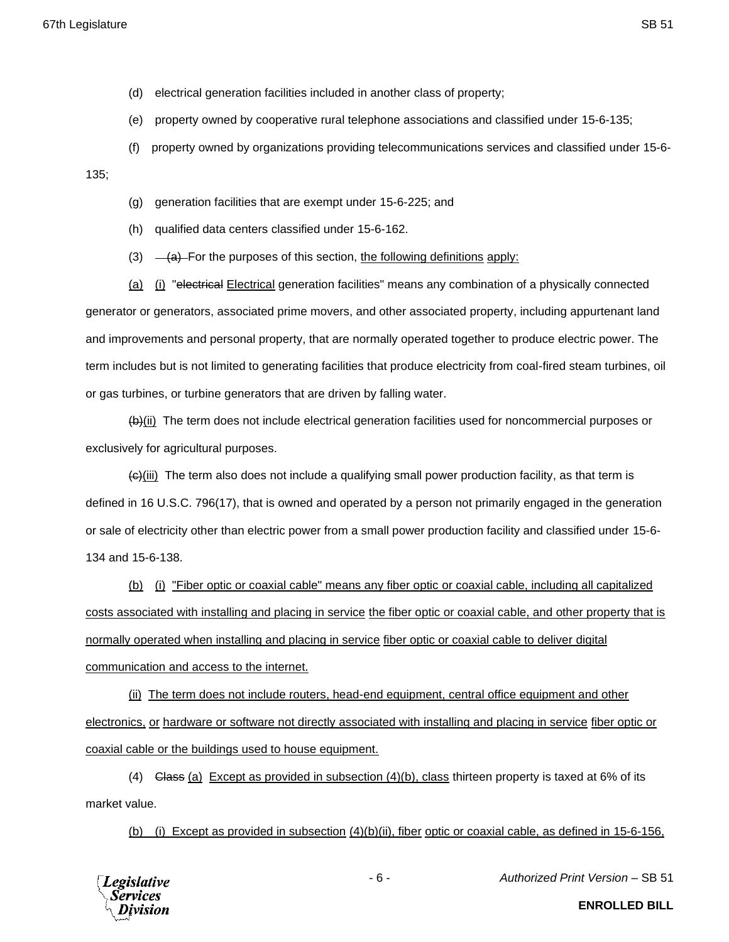- (d) electrical generation facilities included in another class of property;
- (e) property owned by cooperative rural telephone associations and classified under 15-6-135;
- (f) property owned by organizations providing telecommunications services and classified under 15-6-

135;

- (g) generation facilities that are exempt under 15-6-225; and
- (h) qualified data centers classified under 15-6-162.
- (3)  $\left(4\right)$  For the purposes of this section, the following definitions apply:

(a) (i) "electrical Electrical generation facilities" means any combination of a physically connected generator or generators, associated prime movers, and other associated property, including appurtenant land and improvements and personal property, that are normally operated together to produce electric power. The term includes but is not limited to generating facilities that produce electricity from coal-fired steam turbines, oil or gas turbines, or turbine generators that are driven by falling water.

(b)(ii) The term does not include electrical generation facilities used for noncommercial purposes or exclusively for agricultural purposes.

 $\left\langle \Theta \right\rangle$ (iii) The term also does not include a qualifying small power production facility, as that term is defined in 16 U.S.C. 796(17), that is owned and operated by a person not primarily engaged in the generation or sale of electricity other than electric power from a small power production facility and classified under 15-6- 134 and 15-6-138.

(b) (i) "Fiber optic or coaxial cable" means any fiber optic or coaxial cable, including all capitalized costs associated with installing and placing in service the fiber optic or coaxial cable, and other property that is normally operated when installing and placing in service fiber optic or coaxial cable to deliver digital communication and access to the internet.

(ii) The term does not include routers, head-end equipment, central office equipment and other electronics, or hardware or software not directly associated with installing and placing in service fiber optic or coaxial cable or the buildings used to house equipment.

(4) Class (a) Except as provided in subsection  $(4)(b)$ , class thirteen property is taxed at 6% of its market value.

(b) (i) Except as provided in subsection  $(4)(b)(ii)$ , fiber optic or coaxial cable, as defined in 15-6-156,



- 6 - *Authorized Print Version* – SB 51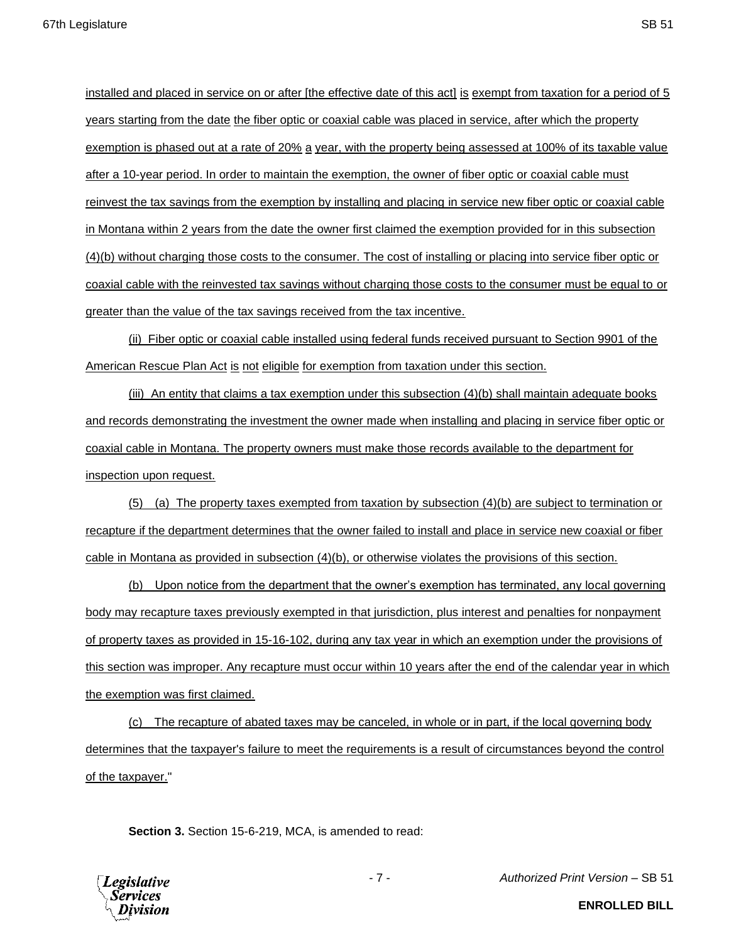installed and placed in service on or after [the effective date of this act] is exempt from taxation for a period of 5 years starting from the date the fiber optic or coaxial cable was placed in service, after which the property exemption is phased out at a rate of 20% a year, with the property being assessed at 100% of its taxable value after a 10-year period. In order to maintain the exemption, the owner of fiber optic or coaxial cable must reinvest the tax savings from the exemption by installing and placing in service new fiber optic or coaxial cable in Montana within 2 years from the date the owner first claimed the exemption provided for in this subsection (4)(b) without charging those costs to the consumer. The cost of installing or placing into service fiber optic or coaxial cable with the reinvested tax savings without charging those costs to the consumer must be equal to or greater than the value of the tax savings received from the tax incentive.

(ii) Fiber optic or coaxial cable installed using federal funds received pursuant to Section 9901 of the American Rescue Plan Act is not eligible for exemption from taxation under this section.

(iii) An entity that claims a tax exemption under this subsection (4)(b) shall maintain adequate books and records demonstrating the investment the owner made when installing and placing in service fiber optic or coaxial cable in Montana. The property owners must make those records available to the department for inspection upon request.

(5) (a) The property taxes exempted from taxation by subsection (4)(b) are subject to termination or recapture if the department determines that the owner failed to install and place in service new coaxial or fiber cable in Montana as provided in subsection (4)(b), or otherwise violates the provisions of this section.

(b) Upon notice from the department that the owner's exemption has terminated, any local governing body may recapture taxes previously exempted in that jurisdiction, plus interest and penalties for nonpayment of property taxes as provided in 15-16-102, during any tax year in which an exemption under the provisions of this section was improper. Any recapture must occur within 10 years after the end of the calendar year in which the exemption was first claimed.

(c) The recapture of abated taxes may be canceled, in whole or in part, if the local governing body determines that the taxpayer's failure to meet the requirements is a result of circumstances beyond the control of the taxpayer."

**Section 3.** Section 15-6-219, MCA, is amended to read:



- 7 - *Authorized Print Version* – SB 51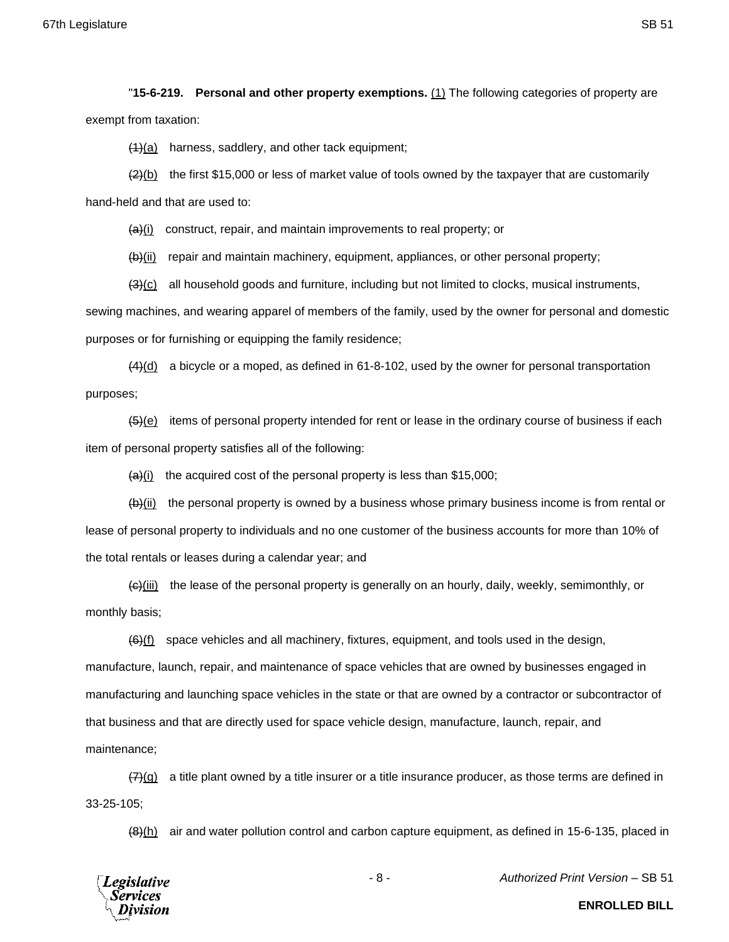"**15-6-219. Personal and other property exemptions.** (1) The following categories of property are exempt from taxation:

 $(1)(a)$  harness, saddlery, and other tack equipment;

 $(2)(b)$  the first \$15,000 or less of market value of tools owned by the taxpayer that are customarily hand-held and that are used to:

 $\left\langle \frac{a}{b} \right\rangle$  construct, repair, and maintain improvements to real property; or

 $(b)$ (ii) repair and maintain machinery, equipment, appliances, or other personal property;

 $(3)(c)$  all household goods and furniture, including but not limited to clocks, musical instruments, sewing machines, and wearing apparel of members of the family, used by the owner for personal and domestic

purposes or for furnishing or equipping the family residence;

 $(4)$ (d) a bicycle or a moped, as defined in 61-8-102, used by the owner for personal transportation purposes;

 $(5)(e)$  items of personal property intended for rent or lease in the ordinary course of business if each item of personal property satisfies all of the following:

 $\frac{a}{i}$  the acquired cost of the personal property is less than \$15,000;

 $\left(\frac{b}{ii}\right)$  the personal property is owned by a business whose primary business income is from rental or lease of personal property to individuals and no one customer of the business accounts for more than 10% of the total rentals or leases during a calendar year; and

 $\left\langle \Theta \right\rangle$ (iii) the lease of the personal property is generally on an hourly, daily, weekly, semimonthly, or monthly basis;

 $(6)$ (f) space vehicles and all machinery, fixtures, equipment, and tools used in the design, manufacture, launch, repair, and maintenance of space vehicles that are owned by businesses engaged in manufacturing and launching space vehicles in the state or that are owned by a contractor or subcontractor of that business and that are directly used for space vehicle design, manufacture, launch, repair, and maintenance;

 $\frac{7}{2}(g)$  a title plant owned by a title insurer or a title insurance producer, as those terms are defined in 33-25-105;

 $(8)$ (h) air and water pollution control and carbon capture equipment, as defined in 15-6-135, placed in



- 8 - *Authorized Print Version* – SB 51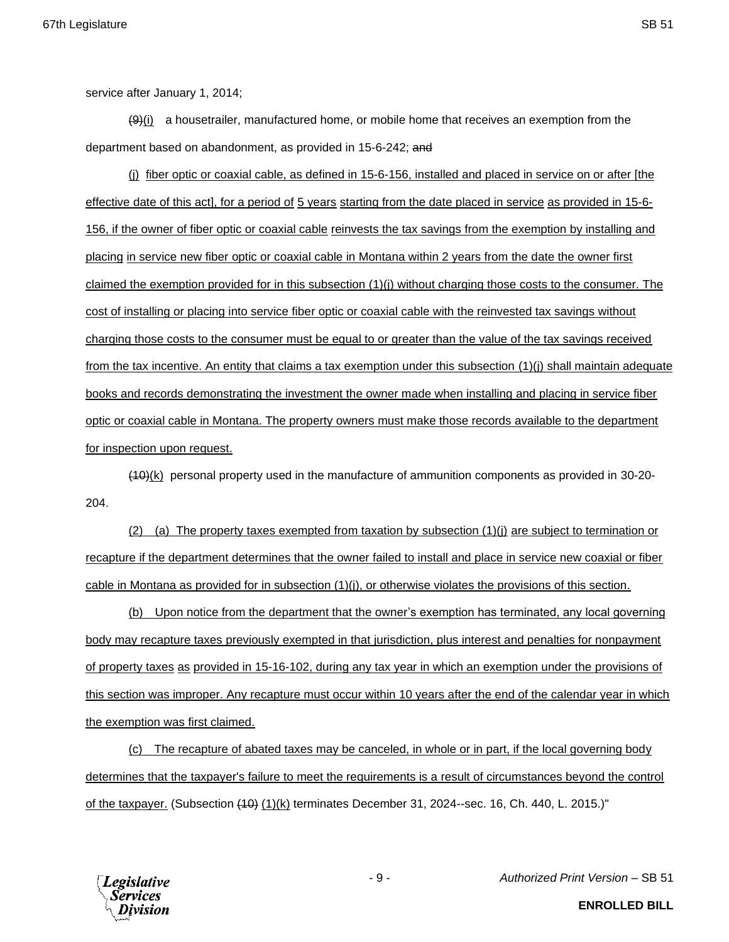service after January 1, 2014;

 $(9)$ (i) a housetrailer, manufactured home, or mobile home that receives an exemption from the department based on abandonment, as provided in 15-6-242; and

(j) fiber optic or coaxial cable, as defined in 15-6-156, installed and placed in service on or after [the effective date of this act], for a period of 5 years starting from the date placed in service as provided in 15-6- 156, if the owner of fiber optic or coaxial cable reinvests the tax savings from the exemption by installing and placing in service new fiber optic or coaxial cable in Montana within 2 years from the date the owner first claimed the exemption provided for in this subsection (1)(j) without charging those costs to the consumer. The cost of installing or placing into service fiber optic or coaxial cable with the reinvested tax savings without charging those costs to the consumer must be equal to or greater than the value of the tax savings received from the tax incentive. An entity that claims a tax exemption under this subsection (1)(j) shall maintain adequate books and records demonstrating the investment the owner made when installing and placing in service fiber optic or coaxial cable in Montana. The property owners must make those records available to the department for inspection upon request.

(10)(k) personal property used in the manufacture of ammunition components as provided in 30-20- 204.

(2) (a) The property taxes exempted from taxation by subsection (1)(j) are subject to termination or recapture if the department determines that the owner failed to install and place in service new coaxial or fiber cable in Montana as provided for in subsection (1)(j), or otherwise violates the provisions of this section.

(b) Upon notice from the department that the owner's exemption has terminated, any local governing body may recapture taxes previously exempted in that jurisdiction, plus interest and penalties for nonpayment of property taxes as provided in 15-16-102, during any tax year in which an exemption under the provisions of this section was improper. Any recapture must occur within 10 years after the end of the calendar year in which the exemption was first claimed.

(c) The recapture of abated taxes may be canceled, in whole or in part, if the local governing body determines that the taxpayer's failure to meet the requirements is a result of circumstances beyond the control of the taxpayer. (Subsection (10) (1)(k) terminates December 31, 2024--sec. 16, Ch. 440, L. 2015.)"



- 9 - *Authorized Print Version* – SB 51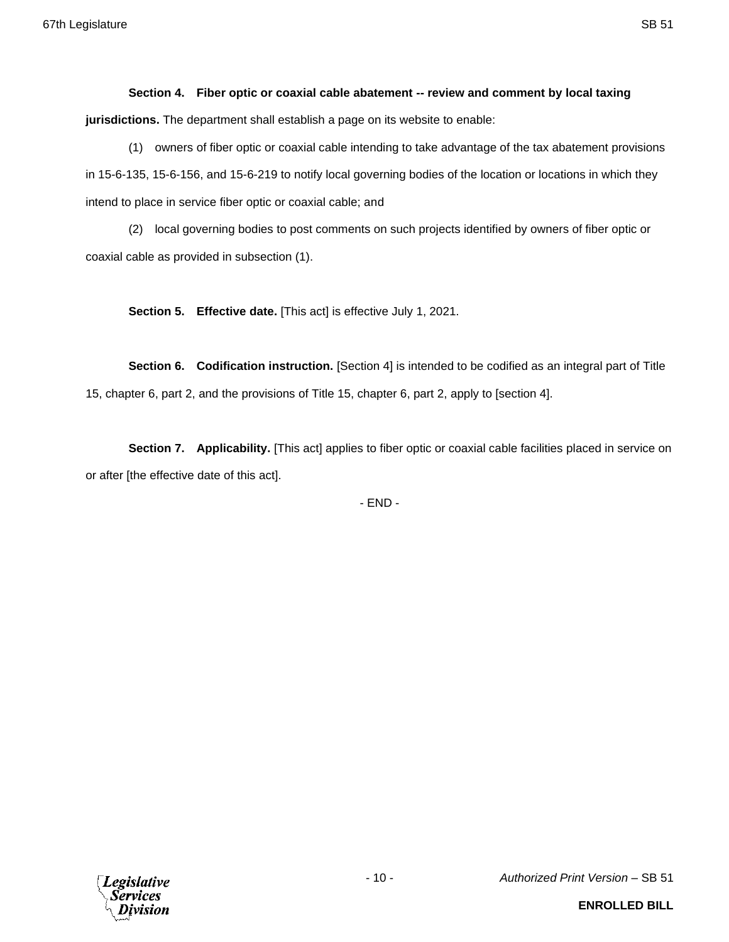## **Section 4. Fiber optic or coaxial cable abatement -- review and comment by local taxing jurisdictions.** The department shall establish a page on its website to enable:

(1) owners of fiber optic or coaxial cable intending to take advantage of the tax abatement provisions in 15-6-135, 15-6-156, and 15-6-219 to notify local governing bodies of the location or locations in which they intend to place in service fiber optic or coaxial cable; and

(2) local governing bodies to post comments on such projects identified by owners of fiber optic or coaxial cable as provided in subsection (1).

**Section 5. Effective date.** [This act] is effective July 1, 2021.

**Section 6. Codification instruction.** [Section 4] is intended to be codified as an integral part of Title 15, chapter 6, part 2, and the provisions of Title 15, chapter 6, part 2, apply to [section 4].

**Section 7.** Applicability. [This act] applies to fiber optic or coaxial cable facilities placed in service on or after [the effective date of this act].

- END -

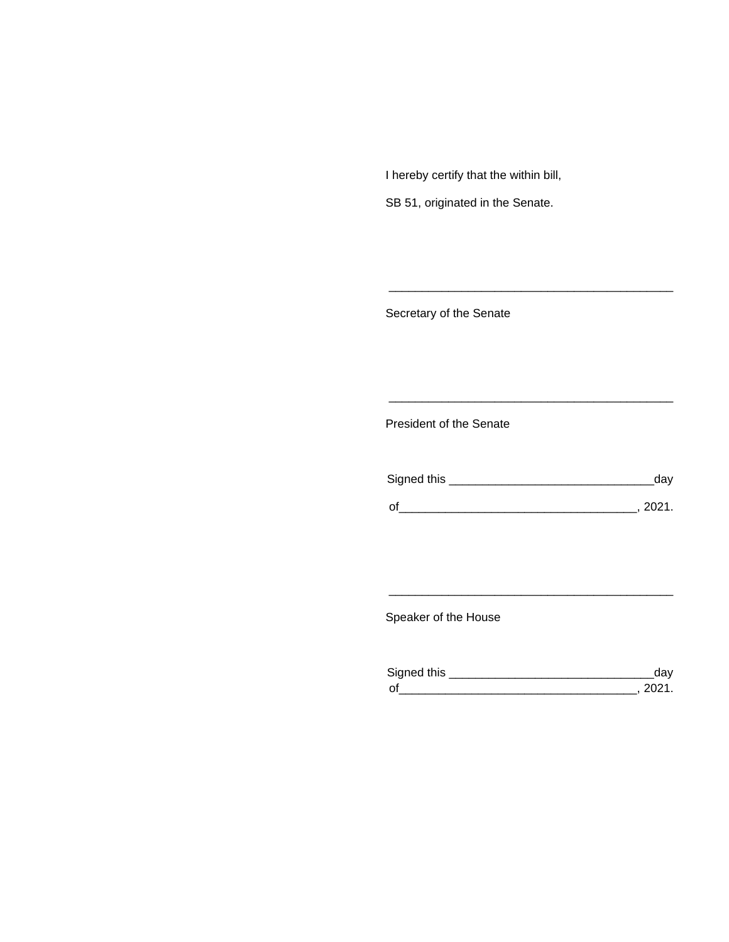I hereby certify that the within bill,

SB 51, originated in the Senate.

Secretary of the Senate

President of the Senate

| Signed this |        |
|-------------|--------|
|             |        |
| $\Omega$    | 111111 |

\_\_\_\_\_\_\_\_\_\_\_\_\_\_\_\_\_\_\_\_\_\_\_\_\_\_\_\_\_\_\_\_\_\_\_\_\_\_\_\_\_\_\_

\_\_\_\_\_\_\_\_\_\_\_\_\_\_\_\_\_\_\_\_\_\_\_\_\_\_\_\_\_\_\_\_\_\_\_\_\_\_\_\_\_\_\_

Speaker of the House

| Signed this        |  |
|--------------------|--|
| $\mathsf{\Omega}'$ |  |

\_\_\_\_\_\_\_\_\_\_\_\_\_\_\_\_\_\_\_\_\_\_\_\_\_\_\_\_\_\_\_\_\_\_\_\_\_\_\_\_\_\_\_